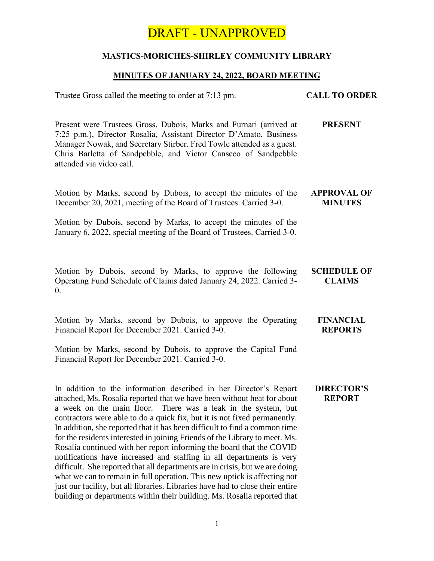# DRAFT - UNAPPROVED

## **MASTICS-MORICHES-SHIRLEY COMMUNITY LIBRARY**

## **MINUTES OF JANUARY 24, 2022, BOARD MEETING**

Trustee Gross called the meeting to order at 7:13 pm. **CALL TO ORDER** Present were Trustees Gross, Dubois, Marks and Furnari (arrived at 7:25 p.m.), Director Rosalia, Assistant Director D'Amato, Business Manager Nowak, and Secretary Stirber. Fred Towle attended as a guest. Chris Barletta of Sandpebble, and Victor Canseco of Sandpebble attended via video call. **PRESENT** Motion by Marks, second by Dubois, to accept the minutes of the December 20, 2021, meeting of the Board of Trustees. Carried 3-0. Motion by Dubois, second by Marks, to accept the minutes of the January 6, 2022, special meeting of the Board of Trustees. Carried 3-0. **APPROVAL OF MINUTES** Motion by Dubois, second by Marks, to approve the following Operating Fund Schedule of Claims dated January 24, 2022. Carried 3- 0. **SCHEDULE OF CLAIMS** Motion by Marks, second by Dubois, to approve the Operating Financial Report for December 2021. Carried 3-0. Motion by Marks, second by Dubois, to approve the Capital Fund Financial Report for December 2021. Carried 3-0. **FINANCIAL REPORTS** In addition to the information described in her Director's Report attached, Ms. Rosalia reported that we have been without heat for about a week on the main floor. There was a leak in the system, but contractors were able to do a quick fix, but it is not fixed permanently. In addition, she reported that it has been difficult to find a common time for the residents interested in joining Friends of the Library to meet. Ms. Rosalia continued with her report informing the board that the COVID notifications have increased and staffing in all departments is very difficult. She reported that all departments are in crisis, but we are doing what we can to remain in full operation. This new uptick is affecting not just our facility, but all libraries. Libraries have had to close their entire building or departments within their building. Ms. Rosalia reported that **DIRECTOR'S REPORT**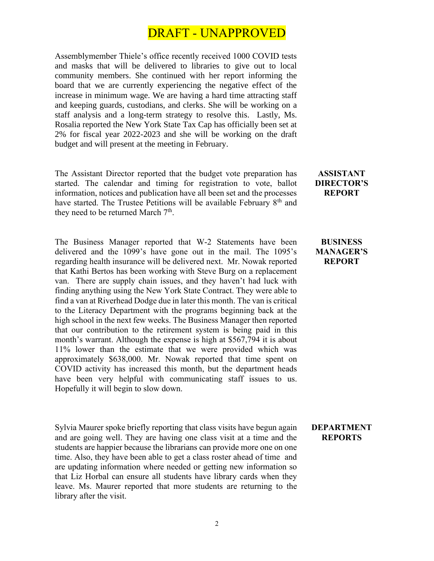## DRAFT - UNAPPROVED

Assemblymember Thiele's office recently received 1000 COVID tests and masks that will be delivered to libraries to give out to local community members. She continued with her report informing the board that we are currently experiencing the negative effect of the increase in minimum wage. We are having a hard time attracting staff and keeping guards, custodians, and clerks. She will be working on a staff analysis and a long-term strategy to resolve this. Lastly, Ms. Rosalia reported the New York State Tax Cap has officially been set at 2% for fiscal year 2022-2023 and she will be working on the draft budget and will present at the meeting in February.

The Assistant Director reported that the budget vote preparation has started. The calendar and timing for registration to vote, ballot information, notices and publication have all been set and the processes have started. The Trustee Petitions will be available February 8<sup>th</sup> and they need to be returned March  $7<sup>th</sup>$ .

The Business Manager reported that W-2 Statements have been delivered and the 1099's have gone out in the mail. The 1095's regarding health insurance will be delivered next. Mr. Nowak reported that Kathi Bertos has been working with Steve Burg on a replacement van. There are supply chain issues, and they haven't had luck with finding anything using the New York State Contract. They were able to find a van at Riverhead Dodge due in later this month. The van is critical to the Literacy Department with the programs beginning back at the high school in the next few weeks. The Business Manager then reported that our contribution to the retirement system is being paid in this month's warrant. Although the expense is high at \$567,794 it is about 11% lower than the estimate that we were provided which was approximately \$638,000. Mr. Nowak reported that time spent on COVID activity has increased this month, but the department heads have been very helpful with communicating staff issues to us. Hopefully it will begin to slow down.

Sylvia Maurer spoke briefly reporting that class visits have begun again and are going well. They are having one class visit at a time and the students are happier because the librarians can provide more one on one time. Also, they have been able to get a class roster ahead of time and are updating information where needed or getting new information so that Liz Horbal can ensure all students have library cards when they leave. Ms. Maurer reported that more students are returning to the library after the visit.

## **ASSISTANT DIRECTOR'S REPORT**

#### **BUSINESS MANAGER'S REPORT**

#### **DEPARTMENT REPORTS**